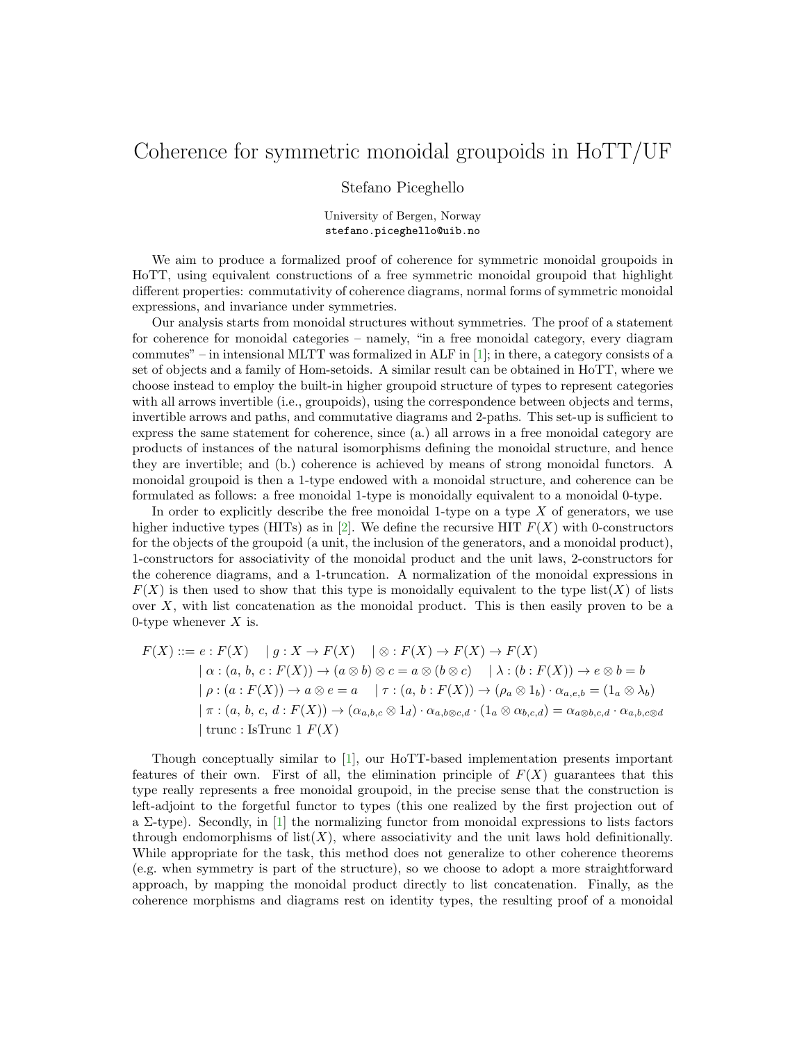## Coherence for symmetric monoidal groupoids in HoTT/UF

## Stefano Piceghello

University of Bergen, Norway stefano.piceghello@uib.no

We aim to produce a formalized proof of coherence for symmetric monoidal groupoids in HoTT, using equivalent constructions of a free symmetric monoidal groupoid that highlight different properties: commutativity of coherence diagrams, normal forms of symmetric monoidal expressions, and invariance under symmetries.

Our analysis starts from monoidal structures without symmetries. The proof of a statement for coherence for monoidal categories – namely, "in a free monoidal category, every diagram commutes" – in intensional MLTT was formalized in ALF in [\[1\]](#page-1-0); in there, a category consists of a set of objects and a family of Hom-setoids. A similar result can be obtained in HoTT, where we choose instead to employ the built-in higher groupoid structure of types to represent categories with all arrows invertible (i.e., groupoids), using the correspondence between objects and terms, invertible arrows and paths, and commutative diagrams and 2-paths. This set-up is sufficient to express the same statement for coherence, since (a.) all arrows in a free monoidal category are products of instances of the natural isomorphisms defining the monoidal structure, and hence they are invertible; and (b.) coherence is achieved by means of strong monoidal functors. A monoidal groupoid is then a 1-type endowed with a monoidal structure, and coherence can be formulated as follows: a free monoidal 1-type is monoidally equivalent to a monoidal 0-type.

In order to explicitly describe the free monoidal 1-type on a type  $X$  of generators, we use higher inductive types (HITs) as in [\[2\]](#page-1-1). We define the recursive HIT  $F(X)$  with 0-constructors for the objects of the groupoid (a unit, the inclusion of the generators, and a monoidal product), 1-constructors for associativity of the monoidal product and the unit laws, 2-constructors for the coherence diagrams, and a 1-truncation. A normalization of the monoidal expressions in  $F(X)$  is then used to show that this type is monoidally equivalent to the type list(X) of lists over  $X$ , with list concatenation as the monoidal product. This is then easily proven to be a 0-type whenever  $X$  is.

$$
F(X) ::= e : F(X) \quad | g : X \to F(X) \quad | \otimes : F(X) \to F(X) \to F(X)
$$
  
\n
$$
| \alpha : (a, b, c : F(X)) \to (a \otimes b) \otimes c = a \otimes (b \otimes c) \quad | \lambda : (b : F(X)) \to e \otimes b = b
$$
  
\n
$$
| \rho : (a : F(X)) \to a \otimes e = a \quad | \tau : (a, b : F(X)) \to (\rho_a \otimes 1_b) \cdot \alpha_{a, e, b} = (1_a \otimes \lambda_b)
$$
  
\n
$$
| \pi : (a, b, c, d : F(X)) \to (\alpha_{a, b, c} \otimes 1_d) \cdot \alpha_{a, b \otimes c, d} \cdot (1_a \otimes \alpha_{b, c, d}) = \alpha_{a \otimes b, c, d} \cdot \alpha_{a, b, c \otimes d}
$$
  
\n
$$
| \text{ trunc : IsTrunc 1 } F(X)
$$

Though conceptually similar to [\[1\]](#page-1-0), our HoTT-based implementation presents important features of their own. First of all, the elimination principle of  $F(X)$  guarantees that this type really represents a free monoidal groupoid, in the precise sense that the construction is left-adjoint to the forgetful functor to types (this one realized by the first projection out of a  $\Sigma$ -type). Secondly, in [\[1\]](#page-1-0) the normalizing functor from monoidal expressions to lists factors through endomorphisms of  $list(X)$ , where associativity and the unit laws hold definitionally. While appropriate for the task, this method does not generalize to other coherence theorems (e.g. when symmetry is part of the structure), so we choose to adopt a more straightforward approach, by mapping the monoidal product directly to list concatenation. Finally, as the coherence morphisms and diagrams rest on identity types, the resulting proof of a monoidal